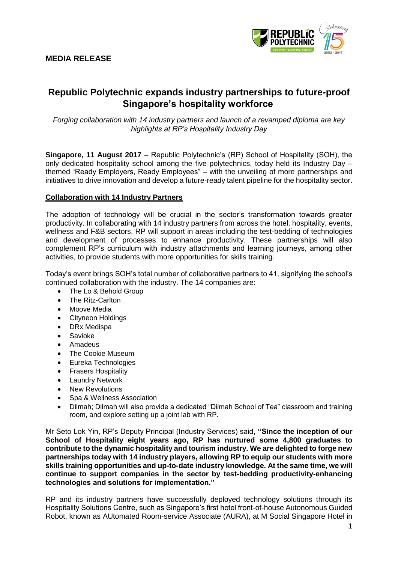# **MEDIA RELEASE**



# **Republic Polytechnic expands industry partnerships to future-proof Singapore's hospitality workforce**

*Forging collaboration with 14 industry partners and launch of a revamped diploma are key highlights at RP's Hospitality Industry Day* 

**Singapore, 11 August 2017** – Republic Polytechnic's (RP) School of Hospitality (SOH), the only dedicated hospitality school among the five polytechnics, today held its Industry Day – themed "Ready Employers, Ready Employees" – with the unveiling of more partnerships and initiatives to drive innovation and develop a future-ready talent pipeline for the hospitality sector.

#### **Collaboration with 14 Industry Partners**

The adoption of technology will be crucial in the sector's transformation towards greater productivity. In collaborating with 14 industry partners from across the hotel, hospitality, events, wellness and F&B sectors, RP will support in areas including the test-bedding of technologies and development of processes to enhance productivity. These partnerships will also complement RP's curriculum with industry attachments and learning journeys, among other activities, to provide students with more opportunities for skills training.

Today's event brings SOH's total number of collaborative partners to 41, signifying the school's continued collaboration with the industry. The 14 companies are:

- The Lo & Behold Group
- The Ritz-Carlton
- Moove Media
- Cityneon Holdings
- DRx Medispa
- Savioke
- Amadeus
- The Cookie Museum
- Eureka Technologies
- Frasers Hospitality
- Laundry Network
- New Revolutions
- Spa & Wellness Association
- Dilmah; Dilmah will also provide a dedicated "Dilmah School of Tea" classroom and training room, and explore setting up a joint lab with RP.

Mr Seto Lok Yin, RP's Deputy Principal (Industry Services) said, **"Since the inception of our School of Hospitality eight years ago, RP has nurtured some 4,800 graduates to contribute to the dynamic hospitality and tourism industry. We are delighted to forge new partnerships today with 14 industry players, allowing RP to equip our students with more skills training opportunities and up-to-date industry knowledge. At the same time, we will continue to support companies in the sector by test-bedding productivity-enhancing technologies and solutions for implementation."**

RP and its industry partners have successfully deployed technology solutions through its Hospitality Solutions Centre, such as Singapore's first hotel front-of-house Autonomous Guided Robot, known as AUtomated Room-service Associate (AURA), at M Social Singapore Hotel in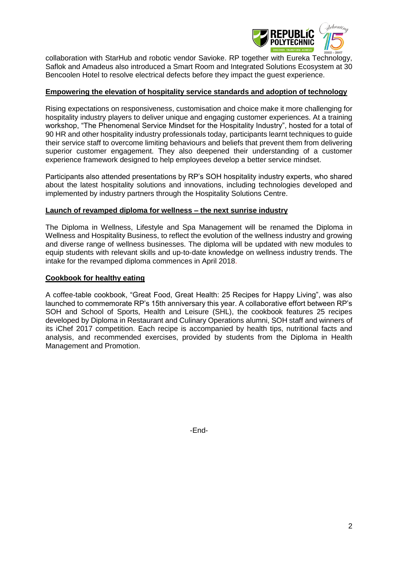

collaboration with StarHub and robotic vendor Savioke. RP together with Eureka Technology, Saflok and Amadeus also introduced a Smart Room and Integrated Solutions Ecosystem at 30 Bencoolen Hotel to resolve electrical defects before they impact the guest experience.

### **Empowering the elevation of hospitality service standards and adoption of technology**

Rising expectations on responsiveness, customisation and choice make it more challenging for hospitality industry players to deliver unique and engaging customer experiences. At a training workshop, "The Phenomenal Service Mindset for the Hospitality Industry", hosted for a total of 90 HR and other hospitality industry professionals today, participants learnt techniques to guide their service staff to overcome limiting behaviours and beliefs that prevent them from delivering superior customer engagement. They also deepened their understanding of a customer experience framework designed to help employees develop a better service mindset.

Participants also attended presentations by RP's SOH hospitality industry experts, who shared about the latest hospitality solutions and innovations, including technologies developed and implemented by industry partners through the Hospitality Solutions Centre.

### **Launch of revamped diploma for wellness – the next sunrise industry**

The Diploma in Wellness, Lifestyle and Spa Management will be renamed the Diploma in Wellness and Hospitality Business, to reflect the evolution of the wellness industry and growing and diverse range of wellness businesses. The diploma will be updated with new modules to equip students with relevant skills and up-to-date knowledge on wellness industry trends. The intake for the revamped diploma commences in April 2018.

#### **Cookbook for healthy eating**

A coffee-table cookbook, "Great Food, Great Health: 25 Recipes for Happy Living", was also launched to commemorate RP's 15th anniversary this year. A collaborative effort between RP's SOH and School of Sports, Health and Leisure (SHL), the cookbook features 25 recipes developed by Diploma in Restaurant and Culinary Operations alumni, SOH staff and winners of its iChef 2017 competition. Each recipe is accompanied by health tips, nutritional facts and analysis, and recommended exercises, provided by students from the Diploma in Health Management and Promotion.

-End-